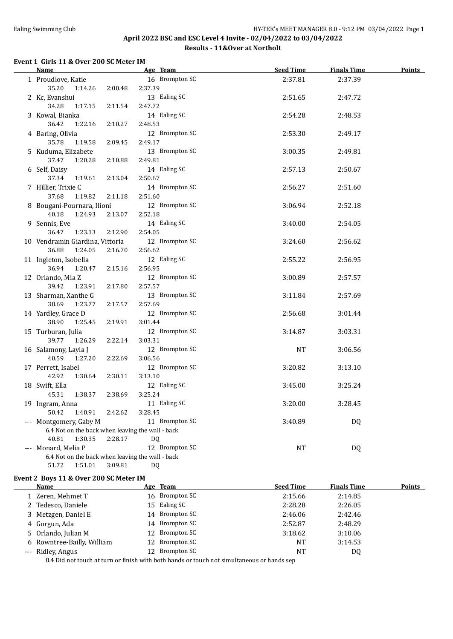## Ealing Swimming Club **HY-TEK's MEET MANAGER 8.0 - 9:12 PM 03/04/2022** Page 1 **April 2022 BSC and ESC Level 4 Invite - 02/04/2022 to 03/04/2022 Results - 11&Over at Northolt**

# **Event 1 Girls 11 & Over 200 SC Meter IM**

| <b>Name</b>                                      |         | Age Team       | <b>Seed Time</b> | <b>Finals Time</b> | <b>Points</b> |
|--------------------------------------------------|---------|----------------|------------------|--------------------|---------------|
| 1 Proudlove, Katie                               |         | 16 Brompton SC | 2:37.81          | 2:37.39            |               |
| 35.20<br>1:14.26                                 | 2:00.48 | 2:37.39        |                  |                    |               |
| 2 Kc, Evanshui                                   |         | 13 Ealing SC   | 2:51.65          | 2:47.72            |               |
| 34.28<br>1:17.15                                 | 2:11.54 | 2:47.72        |                  |                    |               |
| 3 Kowal, Bianka                                  |         | 14 Ealing SC   | 2:54.28          | 2:48.53            |               |
| 36.42<br>1:22.16                                 | 2:10.27 | 2:48.53        |                  |                    |               |
| 4 Baring, Olivia                                 |         | 12 Brompton SC | 2:53.30          | 2:49.17            |               |
| 35.78<br>1:19.58                                 | 2:09.45 | 2:49.17        |                  |                    |               |
| 5 Kuduma, Elizabete                              |         | 13 Brompton SC | 3:00.35          | 2:49.81            |               |
| 37.47<br>1:20.28                                 | 2:10.88 | 2:49.81        |                  |                    |               |
| 6 Self, Daisy                                    |         | 14 Ealing SC   | 2:57.13          | 2:50.67            |               |
| 37.34<br>1:19.61                                 | 2:13.04 | 2:50.67        |                  |                    |               |
| 7 Hillier, Trixie C                              |         | 14 Brompton SC | 2:56.27          | 2:51.60            |               |
| 37.68<br>1:19.82                                 | 2:11.18 | 2:51.60        |                  |                    |               |
| 8 Bougani-Pournara, Ilioni                       |         | 12 Brompton SC | 3:06.94          | 2:52.18            |               |
| 40.18<br>1:24.93                                 | 2:13.07 | 2:52.18        |                  |                    |               |
| 9 Sennis, Eve                                    |         | 14 Ealing SC   | 3:40.00          | 2:54.05            |               |
| 36.47<br>1:23.13                                 | 2:12.90 | 2:54.05        |                  |                    |               |
| 10 Vendramin Giardina, Vittoria                  |         | 12 Brompton SC | 3:24.60          | 2:56.62            |               |
| 36.88<br>1:24.05                                 | 2:16.70 | 2:56.62        |                  |                    |               |
| 11 Ingleton, Isobella                            |         | 12 Ealing SC   | 2:55.22          | 2:56.95            |               |
| 36.94<br>1:20.47                                 | 2:15.16 | 2:56.95        |                  |                    |               |
| 12 Orlando, Mia Z                                |         | 12 Brompton SC | 3:00.89          | 2:57.57            |               |
| 39.42<br>1:23.91                                 | 2:17.80 | 2:57.57        |                  |                    |               |
| 13 Sharman, Xanthe G                             |         | 13 Brompton SC | 3:11.84          | 2:57.69            |               |
| 38.69<br>1:23.77                                 | 2:17.57 | 2:57.69        |                  |                    |               |
| 14 Yardley, Grace D                              |         | 12 Brompton SC | 2:56.68          | 3:01.44            |               |
| 38.90<br>1:25.45                                 | 2:19.91 | 3:01.44        |                  |                    |               |
| 15 Turburan, Julia                               |         | 12 Brompton SC | 3:14.87          | 3:03.31            |               |
| 39.77<br>1:26.29                                 | 2:22.14 | 3:03.31        |                  |                    |               |
| 16 Salamony, Layla J                             |         | 12 Brompton SC | <b>NT</b>        | 3:06.56            |               |
| 40.59<br>1:27.20                                 | 2:22.69 | 3:06.56        |                  |                    |               |
| 17 Perrett, Isabel                               |         | 12 Brompton SC | 3:20.82          | 3:13.10            |               |
| 42.92<br>1:30.64                                 | 2:30.11 | 3:13.10        |                  |                    |               |
| 18 Swift, Ella                                   |         | 12 Ealing SC   | 3:45.00          | 3:25.24            |               |
| 45.31<br>1:38.37                                 | 2:38.69 | 3:25.24        |                  |                    |               |
| 19 Ingram, Anna                                  |         | 11 Ealing SC   | 3:20.00          | 3:28.45            |               |
| 50.42<br>1:40.91                                 | 2:42.62 | 3:28.45        |                  |                    |               |
| --- Montgomery, Gaby M                           |         | 11 Brompton SC | 3:40.89          | DQ                 |               |
| 6.4 Not on the back when leaving the wall - back |         |                |                  |                    |               |
| 40.81<br>1:30.35                                 | 2:28.17 | <b>DQ</b>      |                  |                    |               |
| --- Monard, Melia P                              |         | 12 Brompton SC | <b>NT</b>        | DQ                 |               |
| 6.4 Not on the back when leaving the wall - back |         |                |                  |                    |               |
| 51.72<br>1:51.01                                 | 3:09.81 | DQ             |                  |                    |               |
| Event 2 Boys 11 & Over 200 SC Meter IM           |         |                |                  |                    |               |
| Name                                             |         | Age Team       | <b>Seed Time</b> | <b>Finals Time</b> | Points        |
| 1 Zeren Mehmet T                                 |         | 16 Brompton SC | 2.1566           | 2.1485             |               |

| Name                       | <u>age team</u> | seed Thile | rinais lime | romus |
|----------------------------|-----------------|------------|-------------|-------|
| 1 Zeren, Mehmet T          | 16 Brompton SC  | 2:15.66    | 2:14.85     |       |
| 2 Tedesco, Daniele         | 15 Ealing SC    | 2:28.28    | 2:26.05     |       |
| 3 Metzgen, Daniel E        | 14 Brompton SC  | 2:46.06    | 2:42.46     |       |
| 4 Gorgun, Ada              | 14 Brompton SC  | 2:52.87    | 2:48.29     |       |
| 5 Orlando, Julian M        | 12 Brompton SC  | 3:18.62    | 3:10.06     |       |
| 6 Rowntree-Bailly, William | 12 Brompton SC  | NT         | 3:14.53     |       |
| --- Ridley, Angus          | 12 Brompton SC  | <b>NT</b>  | DQ          |       |
|                            |                 |            |             |       |

8.4 Did not touch at turn or finish with both hands or touch not simultaneous or hands sep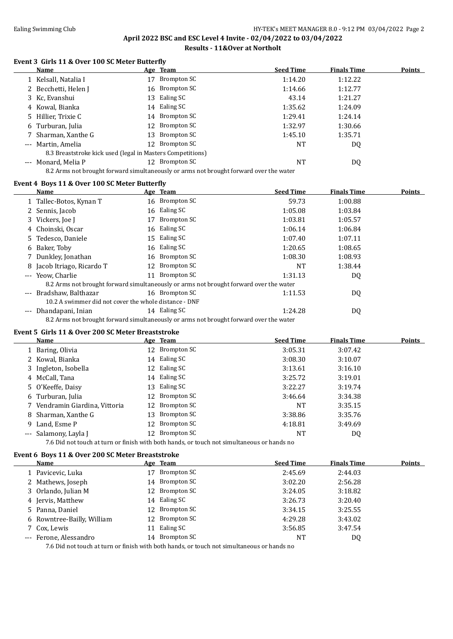# Ealing Swimming Club **HY-TEK's MEET MANAGER 8.0 - 9:12 PM 03/04/2022** Page 2 **April 2022 BSC and ESC Level 4 Invite - 02/04/2022 to 03/04/2022**

### **Results - 11&Over at Northolt**

### **Event 3 Girls 11 & Over 100 SC Meter Butterfly**

|       | Name                                                                                   |     | Age Team       | <b>Seed Time</b> | <b>Finals Time</b> | Points |  |
|-------|----------------------------------------------------------------------------------------|-----|----------------|------------------|--------------------|--------|--|
|       | Kelsall, Natalia I                                                                     | 17  | Brompton SC    | 1:14.20          | 1:12.22            |        |  |
|       | 2 Becchetti, Helen J                                                                   | 16  | Brompton SC    | 1:14.66          | 1:12.77            |        |  |
|       | 3 Kc, Evanshui                                                                         | 13  | Ealing SC      | 43.14            | 1:21.27            |        |  |
|       | 4 Kowal, Bianka                                                                        | 14  | Ealing SC      | 1:35.62          | 1:24.09            |        |  |
|       | 5 Hillier, Trixie C                                                                    |     | 14 Brompton SC | 1:29.41          | 1:24.14            |        |  |
|       | 6 Turburan, Julia                                                                      |     | 12 Brompton SC | 1:32.97          | 1:30.66            |        |  |
|       | Sharman, Xanthe G                                                                      | 13  | Brompton SC    | 1:45.10          | 1:35.71            |        |  |
| $---$ | Martin, Amelia                                                                         | 12  | Brompton SC    | NT               | DQ                 |        |  |
|       | 8.3 Breaststroke kick used (legal in Masters Competitions)                             |     |                |                  |                    |        |  |
|       | Monard, Melia P                                                                        | 12. | Brompton SC    | NT               | DQ                 |        |  |
|       | 8.2 Arms not brought forward simultaneously or arms not brought forward over the water |     |                |                  |                    |        |  |

#### **Event 4 Boys 11 & Over 100 SC Meter Butterfly**

|                     | <b>Name</b>                                           |    | Age Team                                                                               | <b>Seed Time</b> | <b>Finals Time</b> | Points |
|---------------------|-------------------------------------------------------|----|----------------------------------------------------------------------------------------|------------------|--------------------|--------|
|                     | 1 Tallec-Botos, Kynan T                               |    | 16 Brompton SC                                                                         | 59.73            | 1:00.88            |        |
|                     | 2 Sennis, Jacob                                       |    | 16 Ealing SC                                                                           | 1:05.08          | 1:03.84            |        |
|                     | 3 Vickers, Joe J                                      | 17 | Brompton SC                                                                            | 1:03.81          | 1:05.57            |        |
|                     | 4 Choinski, Oscar                                     |    | 16 Ealing SC                                                                           | 1:06.14          | 1:06.84            |        |
|                     | 5 Tedesco, Daniele                                    |    | 15 Ealing SC                                                                           | 1:07.40          | 1:07.11            |        |
|                     | 6 Baker, Toby                                         |    | 16 Ealing SC                                                                           | 1:20.65          | 1:08.65            |        |
|                     | 7 Dunkley, Jonathan                                   | 16 | Brompton SC                                                                            | 1:08.30          | 1:08.93            |        |
|                     | 8 Jacob Itriago, Ricardo T                            | 12 | Brompton SC                                                                            | <b>NT</b>        | 1:38.44            |        |
|                     | --- Yeow. Charlie                                     |    | 11 Brompton SC                                                                         | 1:31.13          | DQ.                |        |
|                     |                                                       |    | 8.2 Arms not brought forward simultaneously or arms not brought forward over the water |                  |                    |        |
| $---$               | Bradshaw, Balthazar                                   |    | 16 Brompton SC                                                                         | 1:11.53          | DQ.                |        |
|                     | 10.2 A swimmer did not cover the whole distance - DNF |    |                                                                                        |                  |                    |        |
| $\qquad \qquad - -$ | Dhandapani, Inian                                     |    | 14 Ealing SC                                                                           | 1:24.28          | DQ                 |        |
|                     |                                                       |    | 8.2 Arms not brought forward simultaneously or arms not brought forward over the water |                  |                    |        |

### **Event 5 Girls 11 & Over 200 SC Meter Breaststroke**

| <b>Name</b>                    |    | Age Team       | <b>Seed Time</b> | <b>Finals Time</b> | <b>Points</b> |
|--------------------------------|----|----------------|------------------|--------------------|---------------|
| 1 Baring, Olivia               |    | 12 Brompton SC | 3:05.31          | 3:07.42            |               |
| 2 Kowal, Bianka                |    | 14 Ealing SC   | 3:08.30          | 3:10.07            |               |
| 3 Ingleton, Isobella           |    | 12 Ealing SC   | 3:13.61          | 3:16.10            |               |
| 4 McCall, Tana                 |    | 14 Ealing SC   | 3:25.72          | 3:19.01            |               |
| 5 O'Keeffe, Daisy              |    | 13 Ealing SC   | 3:22.27          | 3:19.74            |               |
| 6 Turburan, Julia              |    | 12 Brompton SC | 3:46.64          | 3:34.38            |               |
| 7 Vendramin Giardina, Vittoria |    | 12 Brompton SC | NT               | 3:35.15            |               |
| 8 Sharman, Xanthe G            | 13 | Brompton SC    | 3:38.86          | 3:35.76            |               |
| 9 Land, Esme P                 |    | 12 Brompton SC | 4:18.81          | 3:49.69            |               |
| --- Salamony, Layla J          |    | 12 Brompton SC | NT               | DQ                 |               |

7.6 Did not touch at turn or finish with both hands, or touch not simultaneous or hands no

# **Event 6 Boys 11 & Over 200 SC Meter Breaststroke**

| Name                       | Age Team       | <b>Seed Time</b> | <b>Finals Time</b> | <b>Points</b> |
|----------------------------|----------------|------------------|--------------------|---------------|
| 1 Pavicevic, Luka          | 17 Brompton SC | 2:45.69          | 2:44.03            |               |
| 2 Mathews, Joseph          | 14 Brompton SC | 3:02.20          | 2:56.28            |               |
| 3 Orlando, Julian M        | 12 Brompton SC | 3:24.05          | 3:18.82            |               |
| 4 Jervis, Matthew          | 14 Ealing SC   | 3:26.73          | 3:20.40            |               |
| 5 Panna, Daniel            | 12 Brompton SC | 3:34.15          | 3:25.55            |               |
| 6 Rowntree-Bailly, William | 12 Brompton SC | 4:29.28          | 3:43.02            |               |
| 7 Cox. Lewis               | 11 Ealing SC   | 3:56.85          | 3:47.54            |               |
| --- Ferone, Alessandro     | 14 Brompton SC | NT               | DQ                 |               |
|                            |                |                  |                    |               |

7.6 Did not touch at turn or finish with both hands, or touch not simultaneous or hands no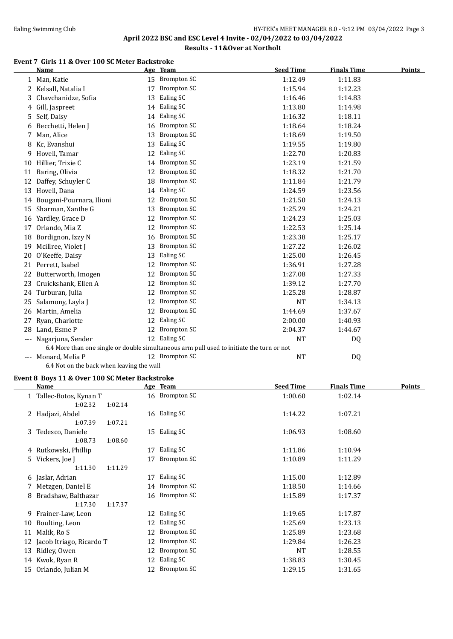## Ealing Swimming Club **HY-TEK's MEET MANAGER 8.0 - 9:12 PM 03/04/2022** Page 3 **April 2022 BSC and ESC Level 4 Invite - 02/04/2022 to 03/04/2022 Results - 11&Over at Northolt**

### **Event 7 Girls 11 & Over 100 SC Meter Backstroke**

|       | <b>Name</b>              |    | Age Team                                                                                  | <b>Seed Time</b> | <b>Finals Time</b> | <b>Points</b> |
|-------|--------------------------|----|-------------------------------------------------------------------------------------------|------------------|--------------------|---------------|
|       | 1 Man, Katie             |    | 15 Brompton SC                                                                            | 1:12.49          | 1:11.83            |               |
| 2     | Kelsall, Natalia I       | 17 | <b>Brompton SC</b>                                                                        | 1:15.94          | 1:12.23            |               |
| 3     | Chavchanidze, Sofia      | 13 | Ealing SC                                                                                 | 1:16.46          | 1:14.83            |               |
| 4     | Gill, Jaspreet           | 14 | Ealing SC                                                                                 | 1:13.80          | 1:14.98            |               |
| 5     | Self, Daisy              | 14 | Ealing SC                                                                                 | 1:16.32          | 1:18.11            |               |
| 6     | Becchetti, Helen J       | 16 | <b>Brompton SC</b>                                                                        | 1:18.64          | 1:18.24            |               |
| 7     | Man, Alice               | 13 | <b>Brompton SC</b>                                                                        | 1:18.69          | 1:19.50            |               |
| 8     | Kc, Evanshui             | 13 | Ealing SC                                                                                 | 1:19.55          | 1:19.80            |               |
| 9     | Hovell, Tamar            | 12 | Ealing SC                                                                                 | 1:22.70          | 1:20.83            |               |
| 10    | Hillier, Trixie C        | 14 | <b>Brompton SC</b>                                                                        | 1:23.19          | 1:21.59            |               |
| 11    | Baring, Olivia           | 12 | <b>Brompton SC</b>                                                                        | 1:18.32          | 1:21.70            |               |
| 12    | Daffey, Schuyler C       | 18 | <b>Brompton SC</b>                                                                        | 1:11.84          | 1:21.79            |               |
| 13    | Hovell, Dana             | 14 | Ealing SC                                                                                 | 1:24.59          | 1:23.56            |               |
| 14    | Bougani-Pournara, Ilioni | 12 | <b>Brompton SC</b>                                                                        | 1:21.50          | 1:24.13            |               |
| 15    | Sharman, Xanthe G        | 13 | <b>Brompton SC</b>                                                                        | 1:25.29          | 1:24.21            |               |
| 16    | Yardley, Grace D         | 12 | <b>Brompton SC</b>                                                                        | 1:24.23          | 1:25.03            |               |
| 17    | Orlando, Mia Z           | 12 | <b>Brompton SC</b>                                                                        | 1:22.53          | 1:25.14            |               |
| 18    | Bordignon, Izzy N        | 16 | <b>Brompton SC</b>                                                                        | 1:23.38          | 1:25.17            |               |
| 19    | Mcillree, Violet J       | 13 | <b>Brompton SC</b>                                                                        | 1:27.22          | 1:26.02            |               |
| 20    | O'Keeffe, Daisy          | 13 | Ealing SC                                                                                 | 1:25.00          | 1:26.45            |               |
| 21    | Perrett, Isabel          | 12 | <b>Brompton SC</b>                                                                        | 1:36.91          | 1:27.28            |               |
| 22    | Butterworth, Imogen      | 12 | <b>Brompton SC</b>                                                                        | 1:27.08          | 1:27.33            |               |
| 23    | Cruickshank, Ellen A     | 12 | <b>Brompton SC</b>                                                                        | 1:39.12          | 1:27.70            |               |
| 24    | Turburan, Julia          | 12 | <b>Brompton SC</b>                                                                        | 1:25.28          | 1:28.87            |               |
| 25    | Salamony, Layla J        | 12 | <b>Brompton SC</b>                                                                        | <b>NT</b>        | 1:34.13            |               |
| 26    | Martin, Amelia           | 12 | <b>Brompton SC</b>                                                                        | 1:44.69          | 1:37.67            |               |
| 27    | Ryan, Charlotte          | 12 | Ealing SC                                                                                 | 2:00.00          | 1:40.93            |               |
| 28    | Land, Esme P             | 12 | Brompton SC                                                                               | 2:04.37          | 1:44.67            |               |
| $---$ | Nagarjuna, Sender        |    | 12 Ealing SC                                                                              | <b>NT</b>        | DQ                 |               |
|       |                          |    | 6.4 More than one single or double simultaneous arm pull used to initiate the turn or not |                  |                    |               |
|       | Monard, Melia P          |    | 12 Brompton SC                                                                            | <b>NT</b>        | DQ                 |               |

6.4 Not on the back when leaving the wall

### **Event 8 Boys 11 & Over 100 SC Meter Backstroke**

|    | Name                     |         | Age Team       | <b>Seed Time</b> | <b>Finals Time</b> | <u>Points</u> |
|----|--------------------------|---------|----------------|------------------|--------------------|---------------|
|    | 1 Tallec-Botos, Kynan T  |         | 16 Brompton SC | 1:00.60          | 1:02.14            |               |
|    | 1:02.32                  | 1:02.14 |                |                  |                    |               |
|    | 2 Hadjazi, Abdel         |         | 16 Ealing SC   | 1:14.22          | 1:07.21            |               |
|    | 1:07.39                  | 1:07.21 |                |                  |                    |               |
|    | 3 Tedesco, Daniele       |         | 15 Ealing SC   | 1:06.93          | 1:08.60            |               |
|    | 1:08.73                  | 1:08.60 |                |                  |                    |               |
|    | 4 Rutkowski, Phillip     | 17      | Ealing SC      | 1:11.86          | 1:10.94            |               |
|    | 5 Vickers, Joe J         | 17      | Brompton SC    | 1:10.89          | 1:11.29            |               |
|    | 1:11.30                  | 1:11.29 |                |                  |                    |               |
|    | 6 Jaslar, Adrian         | 17      | Ealing SC      | 1:15.00          | 1:12.89            |               |
|    | 7 Metzgen, Daniel E      |         | 14 Brompton SC | 1:18.50          | 1:14.66            |               |
|    | 8 Bradshaw, Balthazar    |         | 16 Brompton SC | 1:15.89          | 1:17.37            |               |
|    | 1:17.30                  | 1:17.37 |                |                  |                    |               |
|    | 9 Frainer-Law, Leon      |         | 12 Ealing SC   | 1:19.65          | 1:17.87            |               |
| 10 | Boulting, Leon           | 12      | Ealing SC      | 1:25.69          | 1:23.13            |               |
| 11 | Malik, Ro S              | 12      | Brompton SC    | 1:25.89          | 1:23.68            |               |
| 12 | Jacob Itriago, Ricardo T | 12      | Brompton SC    | 1:29.84          | 1:26.23            |               |
| 13 | Ridley, Owen             | 12      | Brompton SC    | NT               | 1:28.55            |               |
|    | 14 Kwok, Ryan R          | 12      | Ealing SC      | 1:38.83          | 1:30.45            |               |
|    | 15 Orlando, Julian M     |         | 12 Brompton SC | 1:29.15          | 1:31.65            |               |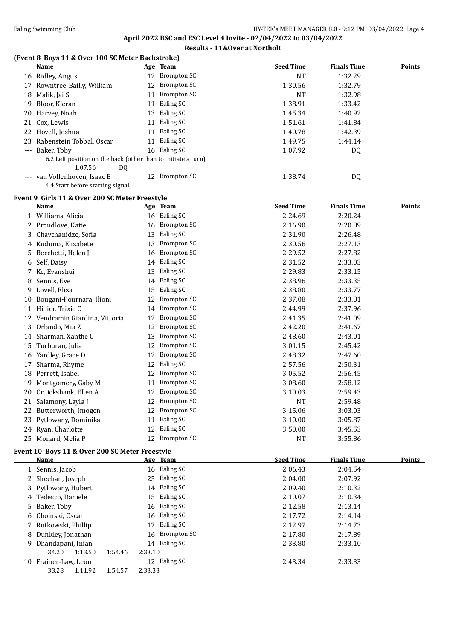**April 2022 BSC and ESC Level 4 Invite - 02/04/2022 to 03/04/2022**

## **Results - 11&Over at Northolt**

|    | (Event 8 Boys 11 & Over 100 SC Meter Backstroke)<br>Name                       |         | Age Team                     | <b>Seed Time</b>            | <b>Finals Time</b>            | <b>Points</b> |
|----|--------------------------------------------------------------------------------|---------|------------------------------|-----------------------------|-------------------------------|---------------|
|    | 16 Ridley, Angus                                                               |         | 12 Brompton SC               | <b>NT</b>                   | 1:32.29                       |               |
|    | 17 Rowntree-Bailly, William                                                    |         | 12 Brompton SC               | 1:30.56                     | 1:32.79                       |               |
|    | 18 Malik, Jai S                                                                | 11      | <b>Brompton SC</b>           | NT                          | 1:32.98                       |               |
| 19 | Bloor, Kieran                                                                  | 11      | Ealing SC                    | 1:38.91                     | 1:33.42                       |               |
| 20 | Harvey, Noah                                                                   |         | 13 Ealing SC                 | 1:45.34                     | 1:40.92                       |               |
| 21 | Cox, Lewis                                                                     | 11      | Ealing SC                    | 1:51.61                     | 1:41.84                       |               |
|    | 22 Hovell, Joshua                                                              | 11      | Ealing SC                    | 1:40.78                     | 1:42.39                       |               |
| 23 | Rabenstein Tobbal, Oscar                                                       |         | 11 Ealing SC                 | 1:49.75                     | 1:44.14                       |               |
|    | --- Baker, Toby                                                                |         | 16 Ealing SC                 | 1:07.92                     | DQ                            |               |
|    | 6.2 Left position on the back (other than to initiate a turn)<br>1:07.56<br>DQ |         |                              |                             |                               |               |
|    | --- van Vollenhoven, Isaac E<br>4.4 Start before starting signal               |         | 12 Brompton SC               | 1:38.74                     | DQ                            |               |
|    | Event 9 Girls 11 & Over 200 SC Meter Freestyle                                 |         |                              |                             |                               |               |
|    | Name                                                                           |         | Age Team                     | <b>Seed Time</b>            | <b>Finals Time</b>            | Points        |
|    | 1 Williams, Alicia                                                             |         | 16 Ealing SC                 | 2:24.69                     | 2:20.24                       |               |
|    | 2 Proudlove, Katie                                                             |         | 16 Brompton SC               | 2:16.90                     | 2:20.89                       |               |
|    | 3 Chavchanidze, Sofia                                                          |         | 13 Ealing SC                 | 2:31.90                     | 2:26.48                       |               |
|    | 4 Kuduma, Elizabete                                                            | 13      | <b>Brompton SC</b>           | 2:30.56                     | 2:27.13                       |               |
|    | 5 Becchetti, Helen J                                                           | 16      | <b>Brompton SC</b>           | 2:29.52                     | 2:27.82                       |               |
|    | 6 Self, Daisy                                                                  |         | 14 Ealing SC                 | 2:31.52                     | 2:33.03                       |               |
|    | 7 Kc, Evanshui                                                                 |         | 13 Ealing SC                 | 2:29.83                     | 2:33.15                       |               |
|    | 8 Sennis, Eve                                                                  |         | 14 Ealing SC                 | 2:38.96                     | 2:33.35                       |               |
|    | 9 Lovell, Eliza                                                                |         | 15 Ealing SC                 | 2:38.80                     | 2:33.77                       |               |
| 10 | Bougani-Pournara, Ilioni                                                       |         | 12 Brompton SC               | 2:37.08                     | 2:33.81                       |               |
|    | 11 Hillier, Trixie C                                                           |         | 14 Brompton SC               | 2:44.99                     | 2:37.96                       |               |
|    | 12 Vendramin Giardina, Vittoria                                                | 12      | <b>Brompton SC</b>           | 2:41.35                     | 2:41.09                       |               |
|    | 13 Orlando, Mia Z                                                              |         | 12 Brompton SC               | 2:42.20                     | 2:41.67                       |               |
|    | 14 Sharman, Xanthe G                                                           | 13      | <b>Brompton SC</b>           | 2:48.60                     | 2:43.01                       |               |
|    | 15 Turburan, Julia                                                             | 12      | <b>Brompton SC</b>           | 3:01.15                     | 2:45.42                       |               |
|    | 16 Yardley, Grace D                                                            | 12      | <b>Brompton SC</b>           | 2:48.32                     | 2:47.60                       |               |
| 17 | Sharma, Rhyme                                                                  | 12      | Ealing SC                    | 2:57.56                     | 2:50.31                       |               |
|    | 18 Perrett, Isabel                                                             | 12      | <b>Brompton SC</b>           | 3:05.52                     | 2:56.45                       |               |
|    | 19 Montgomery, Gaby M                                                          |         | 11 Brompton SC               | 3:08.60                     | 2:58.12                       |               |
|    | 20 Cruickshank, Ellen A                                                        |         | 12 Brompton SC               | 3:10.03                     | 2:59.43                       |               |
|    | 21 Salamony, Layla J                                                           |         | 12 Brompton SC               | NT                          | 2:59.48                       |               |
|    | 22 Butterworth, Imogen                                                         |         | 12 Brompton SC               | 3:15.06                     | 3:03.03                       |               |
|    | 23 Pytlowany, Dominika                                                         |         | 11 Ealing SC                 | 3:10.00                     |                               |               |
|    | 24 Ryan, Charlotte                                                             |         | 12 Ealing SC                 | 3:50.00                     | 3:05.87<br>3:45.53            |               |
|    | 25 Monard, Melia P                                                             |         | 12 Brompton SC               | <b>NT</b>                   | 3:55.86                       |               |
|    | Event 10 Boys 11 & Over 200 SC Meter Freestyle                                 |         |                              |                             |                               |               |
|    | <b>Name</b><br>1 Sennis, Jacob                                                 |         | Age Team<br>16 Ealing SC     | <b>Seed Time</b><br>2:06.43 | <b>Finals Time</b><br>2:04.54 | <b>Points</b> |
|    |                                                                                |         | 25 Ealing SC                 |                             |                               |               |
|    | 2 Sheehan, Joseph                                                              |         |                              | 2:04.00                     | 2:07.92                       |               |
|    | 3 Pytlowany, Hubert                                                            |         | 14 Ealing SC<br>15 Ealing SC | 2:09.40                     | 2:10.32                       |               |
| 4  | Tedesco, Daniele                                                               |         |                              | 2:10.07                     | 2:10.34                       |               |
| 5  | Baker, Toby                                                                    |         | 16 Ealing SC                 | 2:12.58                     | 2:13.14                       |               |
| 6  | Choinski, Oscar                                                                |         | 16 Ealing SC                 | 2:17.72                     | 2:14.14                       |               |
|    | 7 Rutkowski, Phillip                                                           |         | 17 Ealing SC                 | 2:12.97                     | 2:14.73                       |               |
| 8  | Dunkley, Jonathan                                                              |         | 16 Brompton SC               | 2:17.80                     | 2:17.89                       |               |
|    | 9 Dhandapani, Inian<br>34.20<br>1:13.50<br>1:54.46                             | 2:33.10 | 14 Ealing SC                 | 2:33.80                     | 2:33.10                       |               |
|    | 10 Frainer-Law, Leon                                                           |         | 12 Ealing SC                 | 2:43.34                     | 2:33.33                       |               |
|    | 33.28<br>1:11.92<br>1:54.57                                                    | 2:33.33 |                              |                             |                               |               |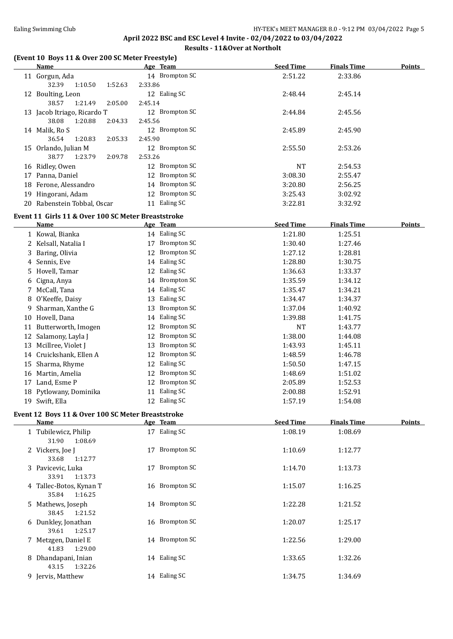## **April 2022 BSC and ESC Level 4 Invite - 02/04/2022 to 03/04/2022 Results - 11&Over at Northolt**

#### **(Event 10 Boys 11 & Over 200 SC Meter Freestyle)**

35.84 1:16.25

38.45 1:21.52

39.61 1:25.17

41.83 1:29.00

43.15 1:32.26

|    | (Event 10  Boys 11 & Over 200 SC Meter Freestyle)<br><b>Name</b> | Age Team                  | <b>Seed Time</b> | <b>Finals Time</b> | <b>Points</b> |
|----|------------------------------------------------------------------|---------------------------|------------------|--------------------|---------------|
|    |                                                                  | 14 Brompton SC            |                  |                    |               |
|    | 11 Gorgun, Ada                                                   |                           | 2:51.22          | 2:33.86            |               |
|    | 32.39<br>1:10.50<br>1:52.63                                      | 2:33.86                   |                  |                    |               |
|    | 12 Boulting, Leon                                                | 12 Ealing SC              | 2:48.44          | 2:45.14            |               |
|    | 38.57<br>1:21.49<br>2:05.00                                      | 2:45.14                   |                  |                    |               |
|    | 13 Jacob Itriago, Ricardo T                                      | 12 Brompton SC            | 2:44.84          | 2:45.56            |               |
|    | 38.08<br>1:20.88<br>2:04.33                                      | 2:45.56<br>12 Brompton SC |                  |                    |               |
|    | 14 Malik, Ro S<br>36.54                                          |                           | 2:45.89          | 2:45.90            |               |
|    | 1:20.83<br>2:05.33                                               | 2:45.90<br>12 Brompton SC |                  |                    |               |
|    | 15 Orlando, Julian M<br>38.77<br>1:23.79                         |                           | 2:55.50          | 2:53.26            |               |
|    | 2:09.78                                                          | 2:53.26                   |                  |                    |               |
|    | 16 Ridley, Owen                                                  | 12 Brompton SC            | <b>NT</b>        | 2:54.53            |               |
|    | 17 Panna, Daniel                                                 | <b>Brompton SC</b><br>12  | 3:08.30          | 2:55.47            |               |
| 18 | Ferone, Alessandro                                               | 14 Brompton SC            | 3:20.80          | 2:56.25            |               |
| 19 | Hingorani, Adam                                                  | <b>Brompton SC</b><br>12  | 3:25.43          | 3:02.92            |               |
|    | 20 Rabenstein Tobbal, Oscar                                      | 11 Ealing SC              | 3:22.81          | 3:32.92            |               |
|    | Event 11 Girls 11 & Over 100 SC Meter Breaststroke               |                           |                  |                    |               |
|    | Name                                                             | Age Team                  | <b>Seed Time</b> | <b>Finals Time</b> | <b>Points</b> |
|    | 1 Kowal, Bianka                                                  | 14 Ealing SC              | 1:21.80          | 1:25.51            |               |
|    | 2 Kelsall, Natalia I                                             | <b>Brompton SC</b><br>17  | 1:30.40          | 1:27.46            |               |
| 3  | Baring, Olivia                                                   | <b>Brompton SC</b><br>12  | 1:27.12          | 1:28.81            |               |
| 4  | Sennis, Eve                                                      | Ealing SC<br>14           | 1:28.80          | 1:30.75            |               |
| 5  | Hovell, Tamar                                                    | Ealing SC<br>12           | 1:36.63          | 1:33.37            |               |
| 6  | Cigna, Anya                                                      | <b>Brompton SC</b><br>14  | 1:35.59          | 1:34.12            |               |
| 7  | McCall, Tana                                                     | 14 Ealing SC              | 1:35.47          | 1:34.21            |               |
| 8  | O'Keeffe, Daisy                                                  | Ealing SC<br>13           | 1:34.47          | 1:34.37            |               |
| 9  | Sharman, Xanthe G                                                | <b>Brompton SC</b><br>13  | 1:37.04          | 1:40.92            |               |
|    | 10 Hovell, Dana                                                  | Ealing SC<br>14           | 1:39.88          | 1:41.75            |               |
|    | 11 Butterworth, Imogen                                           | <b>Brompton SC</b><br>12  | <b>NT</b>        | 1:43.77            |               |
|    | 12 Salamony, Layla J                                             | <b>Brompton SC</b><br>12  | 1:38.00          | 1:44.08            |               |
|    | 13 Mcillree, Violet J                                            | <b>Brompton SC</b><br>13  | 1:43.93          | 1:45.11            |               |
|    | 14 Cruickshank, Ellen A                                          | <b>Brompton SC</b><br>12  | 1:48.59          | 1:46.78            |               |
| 15 | Sharma, Rhyme                                                    | Ealing SC<br>12           | 1:50.50          | 1:47.15            |               |
|    | 16 Martin, Amelia                                                | <b>Brompton SC</b><br>12  | 1:48.69          | 1:51.02            |               |
| 17 | Land, Esme P                                                     | <b>Brompton SC</b><br>12  | 2:05.89          | 1:52.53            |               |
|    | 18 Pytlowany, Dominika                                           | 11 Ealing SC              | 2:00.88          | 1:52.91            |               |
|    | 19 Swift, Ella                                                   | 12 Ealing SC              | 1:57.19          |                    |               |
|    |                                                                  |                           |                  | 1:54.08            |               |
|    | Event 12 Boys 11 & Over 100 SC Meter Breaststroke                |                           |                  |                    |               |
|    | <b>Name</b>                                                      | Age Team                  | <b>Seed Time</b> | <b>Finals Time</b> | <b>Points</b> |
|    | 1 Tubilewicz, Philip<br>31.90<br>1:08.69                         | 17 Ealing SC              | 1:08.19          | 1:08.69            |               |
|    | 2 Vickers, Joe J<br>33.68<br>1:12.77                             | 17 Brompton SC            | 1:10.69          | 1:12.77            |               |
|    | 3 Pavicevic, Luka<br>33.91<br>1:13.73                            | 17 Brompton SC            | 1:14.70          | 1:13.73            |               |

Tallec-Botos, Kynan T 16 Brompton SC 1:15.07 1:16.25

Mathews, Joseph 14 Brompton SC 1:22.28 1:21.52

Dunkley, Jonathan 16 Brompton SC 1:20.07 1:25.17

Metzgen, Daniel E 14 Brompton SC 1:22.56 1:29.00

Dhandapani, Inian 14 Ealing SC 1:33.65 1:32.26

Jervis, Matthew 14 Ealing SC 1:34.75 1:34.69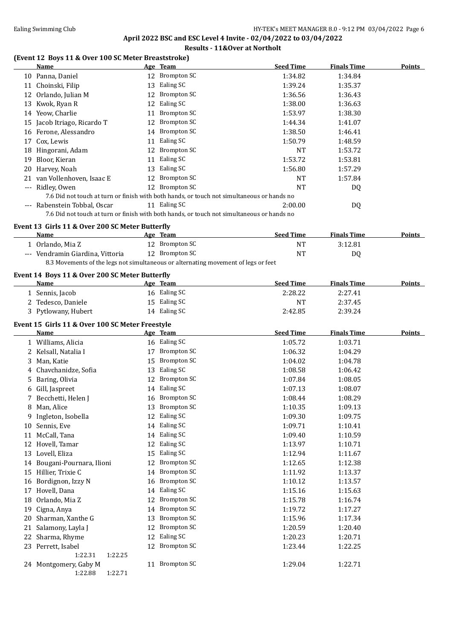## Ealing Swimming Club **HY-TEK's MEET MANAGER 8.0 - 9:12 PM 03/04/2022** Page 6 **April 2022 BSC and ESC Level 4 Invite - 02/04/2022 to 03/04/2022**

# **Results - 11&Over at Northolt**

## **(Event 12 Boys 11 & Over 100 SC Meter Breaststroke)**

|                     | Name                        |    | Age Team                                                                                   | <b>Seed Time</b> | <b>Finals Time</b> | Points |
|---------------------|-----------------------------|----|--------------------------------------------------------------------------------------------|------------------|--------------------|--------|
|                     | 10 Panna, Daniel            |    | 12 Brompton SC                                                                             | 1:34.82          | 1:34.84            |        |
|                     | 11 Choinski, Filip          | 13 | Ealing SC                                                                                  | 1:39.24          | 1:35.37            |        |
|                     | 12 Orlando, Julian M        |    | 12 Brompton SC                                                                             | 1:36.56          | 1:36.43            |        |
|                     | 13 Kwok, Ryan R             | 12 | Ealing SC                                                                                  | 1:38.00          | 1:36.63            |        |
|                     | 14 Yeow, Charlie            | 11 | Brompton SC                                                                                | 1:53.97          | 1:38.30            |        |
|                     | 15 Jacob Itriago, Ricardo T | 12 | Brompton SC                                                                                | 1:44.34          | 1:41.07            |        |
|                     | 16 Ferone, Alessandro       |    | 14 Brompton SC                                                                             | 1:38.50          | 1:46.41            |        |
| 17                  | Cox, Lewis                  | 11 | Ealing SC                                                                                  | 1:50.79          | 1:48.59            |        |
|                     | 18 Hingorani, Adam          |    | 12 Brompton SC                                                                             | NT               | 1:53.72            |        |
| 19                  | Bloor, Kieran               | 11 | Ealing SC                                                                                  | 1:53.72          | 1:53.81            |        |
| 20                  | Harvey, Noah                | 13 | Ealing SC                                                                                  | 1:56.80          | 1:57.29            |        |
|                     | 21 van Vollenhoven, Isaac E | 12 | Brompton SC                                                                                | NT               | 1:57.84            |        |
| $\qquad \qquad - -$ | Ridley, Owen                | 12 | Brompton SC                                                                                | NT               | DQ                 |        |
|                     |                             |    | 7.6 Did not touch at turn or finish with both hands, or touch not simultaneous or hands no |                  |                    |        |
| $\cdots$            | Rabenstein Tobbal, Oscar    |    | 11 Ealing SC                                                                               | 2:00.00          | DQ                 |        |
|                     |                             |    | 7.6 Did not touch at turn or finish with both hands, or touch not simultaneous or hands no |                  |                    |        |

### **Event 13 Girls 11 & Over 200 SC Meter Butterfly**

| <b>Name</b>                                                                        | Age Team       | <b>Seed Time</b> | <b>Finals Time</b> | <b>Points</b> |  |
|------------------------------------------------------------------------------------|----------------|------------------|--------------------|---------------|--|
| l - Orlando, Mia Z                                                                 | 12 Brompton SC | NT               | 3:12.81            |               |  |
| --- Vendramin Giardina, Vittoria                                                   | 12 Brompton SC | NT               | D <sub>0</sub>     |               |  |
| 8.3 Movements of the legs not simultaneous or alternating movement of legs or feet |                |                  |                    |               |  |

### **Event 14 Boys 11 & Over 200 SC Meter Butterfly**

| <b>Name</b>       | Age Team     | <b>Seed Time</b> | <b>Finals Time</b> | <b>Points</b> |
|-------------------|--------------|------------------|--------------------|---------------|
| Sennis, Jacob     | 16 Ealing SC | 2:28.22          | 2:27.41            |               |
| Tedesco, Daniele  | 15 Ealing SC | NT               | 2:37.45            |               |
| Pytlowany, Hubert | 14 Ealing SC | 2:42.85          | 2:39.24            |               |

### **Event 15 Girls 11 & Over 100 SC Meter Freestyle**

|    | Name                     |    | Age Team           | <b>Seed Time</b> | <b>Finals Time</b> | <b>Points</b> |
|----|--------------------------|----|--------------------|------------------|--------------------|---------------|
|    | 1 Williams, Alicia       | 16 | Ealing SC          | 1:05.72          | 1:03.71            |               |
| 2  | Kelsall, Natalia I       | 17 | <b>Brompton SC</b> | 1:06.32          | 1:04.29            |               |
| 3  | Man, Katie               | 15 | <b>Brompton SC</b> | 1:04.02          | 1:04.78            |               |
| 4  | Chavchanidze, Sofia      | 13 | Ealing SC          | 1:08.58          | 1:06.42            |               |
| 5  | Baring, Olivia           | 12 | <b>Brompton SC</b> | 1:07.84          | 1:08.05            |               |
| 6  | Gill, Jaspreet           | 14 | Ealing SC          | 1:07.13          | 1:08.07            |               |
|    | Becchetti, Helen J       | 16 | <b>Brompton SC</b> | 1:08.44          | 1:08.29            |               |
| 8  | Man, Alice               | 13 | Brompton SC        | 1:10.35          | 1:09.13            |               |
| 9  | Ingleton, Isobella       | 12 | Ealing SC          | 1:09.30          | 1:09.75            |               |
| 10 | Sennis, Eve              | 14 | Ealing SC          | 1:09.71          | 1:10.41            |               |
| 11 | McCall, Tana             | 14 | Ealing SC          | 1:09.40          | 1:10.59            |               |
| 12 | Hovell, Tamar            | 12 | Ealing SC          | 1:13.97          | 1:10.71            |               |
| 13 | Lovell, Eliza            | 15 | Ealing SC          | 1:12.94          | 1:11.67            |               |
| 14 | Bougani-Pournara, Ilioni | 12 | <b>Brompton SC</b> | 1:12.65          | 1:12.38            |               |
| 15 | Hillier, Trixie C        | 14 | <b>Brompton SC</b> | 1:11.92          | 1:13.37            |               |
| 16 | Bordignon, Izzy N        | 16 | Brompton SC        | 1:10.12          | 1:13.57            |               |
| 17 | Hovell, Dana             | 14 | Ealing SC          | 1:15.16          | 1:15.63            |               |
| 18 | Orlando, Mia Z           | 12 | Brompton SC        | 1:15.78          | 1:16.74            |               |
| 19 | Cigna, Anya              | 14 | <b>Brompton SC</b> | 1:19.72          | 1:17.27            |               |
| 20 | Sharman, Xanthe G        | 13 | Brompton SC        | 1:15.96          | 1:17.34            |               |
| 21 | Salamony, Layla J        | 12 | <b>Brompton SC</b> | 1:20.59          | 1:20.40            |               |
| 22 | Sharma, Rhyme            | 12 | Ealing SC          | 1:20.23          | 1:20.71            |               |
| 23 | Perrett, Isabel          | 12 | Brompton SC        | 1:23.44          | 1:22.25            |               |
|    | 1:22.31<br>1:22.25       |    |                    |                  |                    |               |
|    | 24 Montgomery, Gaby M    |    | 11 Brompton SC     | 1:29.04          | 1:22.71            |               |
|    | 1:22.88<br>1:22.71       |    |                    |                  |                    |               |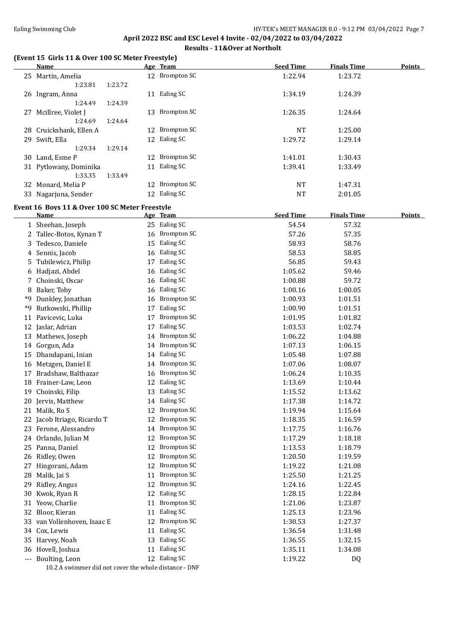# **April 2022 BSC and ESC Level 4 Invite - 02/04/2022 to 03/04/2022 Results - 11&Over at Northolt**

### **(Event 15 Girls 11 & Over 100 SC Meter Freestyle)**

|    | <b>Name</b>                                    |         | Age Team                  | <b>Seed Time</b> | <b>Finals Time</b> | <b>Points</b> |
|----|------------------------------------------------|---------|---------------------------|------------------|--------------------|---------------|
|    | 25 Martin, Amelia                              |         | 12 Brompton SC            | 1:22.94          | 1:23.72            |               |
|    | 1:23.81                                        | 1:23.72 |                           |                  |                    |               |
|    | 26 Ingram, Anna                                |         | 11 Ealing SC              | 1:34.19          | 1:24.39            |               |
|    | 1:24.49                                        | 1:24.39 |                           |                  |                    |               |
|    | 27 Mcillree, Violet J                          |         | 13 Brompton SC            | 1:26.35          | 1:24.64            |               |
|    | 1:24.69                                        | 1:24.64 |                           |                  |                    |               |
|    | 28 Cruickshank, Ellen A                        |         | 12 Brompton SC            | <b>NT</b>        | 1:25.00            |               |
|    | 29 Swift, Ella                                 |         | 12 Ealing SC              | 1:29.72          | 1:29.14            |               |
|    | 1:29.34                                        | 1:29.14 |                           |                  |                    |               |
|    | 30 Land, Esme P                                |         | 12 Brompton SC            | 1:41.01          | 1:30.43            |               |
|    | 31 Pytlowany, Dominika                         |         | 11 Ealing SC              | 1:39.41          | 1:33.49            |               |
|    | 1:33.35                                        | 1:33.49 |                           |                  |                    |               |
|    | 32 Monard, Melia P                             |         | 12 Brompton SC            | <b>NT</b>        | 1:47.31            |               |
|    | 33 Nagarjuna, Sender                           |         | 12 Ealing SC              | NT               | 2:01.05            |               |
|    | Event 16 Boys 11 & Over 100 SC Meter Freestyle |         |                           |                  |                    |               |
|    | Name                                           |         | Age Team                  | <b>Seed Time</b> | <b>Finals Time</b> | <b>Points</b> |
|    | 1 Sheehan, Joseph                              |         | 25 Ealing SC              | 54.54            | 57.32              |               |
|    | Tallec-Botos, Kynan T                          | 16      | <b>Brompton SC</b>        | 57.26            | 57.35              |               |
| 3. | Tedesco, Daniele                               | 15      | Ealing SC                 | 58.93            | 58.76              |               |
| 4  | Sennis, Jacob                                  | 16      | Ealing SC                 | 58.53            | 58.85              |               |
| 5. | Tubilewicz, Philip                             | 17      | Ealing SC                 | 56.85            | 59.43              |               |
| 6  | Hadjazi, Abdel                                 |         | 16 Ealing SC              | 1:05.62          | 59.46              |               |
|    | Choinski, Oscar                                |         | 16 Ealing SC              | 1:00.88          | 59.72              |               |
|    | 8 Baker, Toby                                  |         | 16 Ealing SC              | 1:00.16          | 1:00.05            |               |
| *9 | Dunkley, Jonathan                              |         | 16 Brompton SC            | 1:00.93          | 1:01.51            |               |
|    | $40.51 \cdot 1 \cdot 100$                      |         | $4 \pm 7$ $\pm 1$ $\pm 0$ | $\overline{a}$   |                    |               |

|    | <b>Name</b>                                           |    | Age Team           | <b>Seed Time</b> | <b>Finals Time</b> | <b>Points</b> |
|----|-------------------------------------------------------|----|--------------------|------------------|--------------------|---------------|
|    | 1 Sheehan, Joseph                                     |    | 25 Ealing SC       | 54.54            | 57.32              |               |
|    | 2 Tallec-Botos, Kynan T                               |    | 16 Brompton SC     | 57.26            | 57.35              |               |
| 3  | Tedesco, Daniele                                      |    | 15 Ealing SC       | 58.93            | 58.76              |               |
|    | 4 Sennis, Jacob                                       |    | 16 Ealing SC       | 58.53            | 58.85              |               |
| 5  | Tubilewicz, Philip                                    | 17 | Ealing SC          | 56.85            | 59.43              |               |
|    | 6 Hadjazi, Abdel                                      | 16 | Ealing SC          | 1:05.62          | 59.46              |               |
| 7  | Choinski, Oscar                                       |    | 16 Ealing SC       | 1:00.88          | 59.72              |               |
| 8  | Baker, Toby                                           |    | 16 Ealing SC       | 1:00.16          | 1:00.05            |               |
| *9 | Dunkley, Jonathan                                     | 16 | <b>Brompton SC</b> | 1:00.93          | 1:01.51            |               |
| *9 | Rutkowski, Phillip                                    | 17 | Ealing SC          | 1:00.90          | 1:01.51            |               |
| 11 | Pavicevic, Luka                                       | 17 | <b>Brompton SC</b> | 1:01.95          | 1:01.82            |               |
| 12 | Jaslar, Adrian                                        | 17 | Ealing SC          | 1:03.53          | 1:02.74            |               |
| 13 | Mathews, Joseph                                       |    | 14 Brompton SC     | 1:06.22          | 1:04.88            |               |
| 14 | Gorgun, Ada                                           |    | 14 Brompton SC     | 1:07.13          | 1:06.15            |               |
|    | 15 Dhandapani, Inian                                  |    | 14 Ealing SC       | 1:05.48          | 1:07.88            |               |
|    | 16 Metzgen, Daniel E                                  |    | 14 Brompton SC     | 1:07.06          | 1:08.07            |               |
| 17 | Bradshaw, Balthazar                                   | 16 | <b>Brompton SC</b> | 1:06.24          | 1:10.35            |               |
| 18 | Frainer-Law, Leon                                     | 12 | Ealing SC          | 1:13.69          | 1:10.44            |               |
| 19 | Choinski, Filip                                       | 13 | Ealing SC          | 1:15.52          | 1:13.62            |               |
| 20 | Jervis, Matthew                                       |    | 14 Ealing SC       | 1:17.38          | 1:14.72            |               |
| 21 | Malik, Ro S                                           |    | 12 Brompton SC     | 1:19.94          | 1:15.64            |               |
| 22 | Jacob Itriago, Ricardo T                              | 12 | <b>Brompton SC</b> | 1:18.35          | 1:16.59            |               |
|    | 23 Ferone, Alessandro                                 | 14 | <b>Brompton SC</b> | 1:17.75          | 1:16.76            |               |
| 24 | Orlando, Julian M                                     | 12 | <b>Brompton SC</b> | 1:17.29          | 1:18.18            |               |
|    | 25 Panna, Daniel                                      | 12 | <b>Brompton SC</b> | 1:13.53          | 1:18.79            |               |
| 26 | Ridley, Owen                                          | 12 | <b>Brompton SC</b> | 1:20.50          | 1:19.59            |               |
| 27 | Hingorani, Adam                                       | 12 | <b>Brompton SC</b> | 1:19.22          | 1:21.08            |               |
| 28 | Malik, Jai S                                          | 11 | <b>Brompton SC</b> | 1:25.50          | 1:21.25            |               |
| 29 | Ridley, Angus                                         | 12 | <b>Brompton SC</b> | 1:24.16          | 1:22.45            |               |
| 30 | Kwok, Ryan R                                          | 12 | Ealing SC          | 1:28.15          | 1:22.84            |               |
|    | 31 Yeow, Charlie                                      | 11 | <b>Brompton SC</b> | 1:21.06          | 1:23.87            |               |
|    | 32 Bloor, Kieran                                      | 11 | Ealing SC          | 1:25.13          | 1:23.96            |               |
| 33 | van Vollenhoven, Isaac E                              | 12 | <b>Brompton SC</b> | 1:30.53          | 1:27.37            |               |
| 34 | Cox, Lewis                                            | 11 | Ealing SC          | 1:36.54          | 1:31.48            |               |
| 35 | Harvey, Noah                                          | 13 | Ealing SC          | 1:36.55          | 1:32.15            |               |
| 36 | Hovell, Joshua                                        |    | 11 Ealing SC       | 1:35.11          | 1:34.08            |               |
|    | Boulting, Leon                                        |    | 12 Ealing SC       | 1:19.22          | DQ                 |               |
|    | 10.2 A swimmer did not cover the whole distance - DNF |    |                    |                  |                    |               |